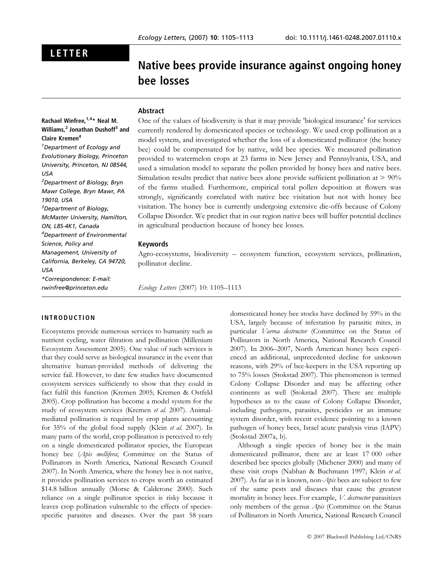## LETTER

# Native bees provide insurance against ongoing honey bee losses

## Abstract

## Rachael Winfree,<sup>1,4</sup>\* Neal M. Williams.<sup>2</sup> Jonathan Dushoff<sup>3</sup> and Claire Kremen<sup>4</sup> 1 Department of Ecology and Evolutionary Biology, Princeton

University, Princeton, NJ 08544, USA 2 Department of Biology, Bryn Mawr College, Bryn Mawr, PA 19010, USA <sup>3</sup>Department of Biology, McMaster University, Hamilton, ON, L8S-4K1, Canada 4 Department of Environmental Science, Policy and Management, University of California, Berkeley, CA 94720, USA \*Correspondence: E-mail: rwinfree@princeton.edu

One of the values of biodiversity is that it may provide 'biological insurance' for services currently rendered by domesticated species or technology. We used crop pollination as a model system, and investigated whether the loss of a domesticated pollinator (the honey bee) could be compensated for by native, wild bee species. We measured pollination provided to watermelon crops at 23 farms in New Jersey and Pennsylvania, USA, and used a simulation model to separate the pollen provided by honey bees and native bees. Simulation results predict that native bees alone provide sufficient pollination at  $> 90\%$ of the farms studied. Furthermore, empirical total pollen deposition at flowers was strongly, significantly correlated with native bee visitation but not with honey bee visitation. The honey bee is currently undergoing extensive die-offs because of Colony Collapse Disorder. We predict that in our region native bees will buffer potential declines in agricultural production because of honey bee losses.

#### Keywords

Agro-ecosystems, biodiversity – ecosystem function, ecosystem services, pollination, pollinator decline.

Ecology Letters (2007) 10: 1105–1113

#### INTRODUCTION

Ecosystems provide numerous services to humanity such as nutrient cycling, water filtration and pollination (Millenium Ecosystem Assessment 2005). One value of such services is that they could serve as biological insurance in the event that alternative human-provided methods of delivering the service fail. However, to date few studies have documented ecosystem services sufficiently to show that they could in fact fulfil this function (Kremen 2005; Kremen & Ostfeld 2005). Crop pollination has become a model system for the study of ecosystem services (Kremen et al. 2007). Animalmediated pollination is required by crop plants accounting for 35% of the global food supply (Klein et al. 2007). In many parts of the world, crop pollination is perceived to rely on a single domesticated pollinator species, the European honey bee (Apis mellifera; Committee on the Status of Pollinators in North America, National Research Council 2007). In North America, where the honey bee is not native, it provides pollination services to crops worth an estimated \$14.8 billion annually (Morse & Calderone 2000). Such reliance on a single pollinator species is risky because it leaves crop pollination vulnerable to the effects of speciesspecific parasites and diseases. Over the past 58 years

domesticated honey bee stocks have declined by 59% in the USA, largely because of infestation by parasitic mites, in particular Varroa destructor (Committee on the Status of Pollinators in North America, National Research Council 2007). In 2006–2007, North American honey bees experienced an additional, unprecedented decline for unknown reasons, with 29% of bee-keepers in the USA reporting up to 75% losses (Stokstad 2007). This phenomenon is termed Colony Collapse Disorder and may be affecting other continents as well (Stokstad 2007). There are multiple hypotheses as to the cause of Colony Collapse Disorder, including pathogens, parasites, pesticides or an immune system disorder, with recent evidence pointing to a known pathogen of honey bees, Israel acute paralysis virus (IAPV) (Stokstad 2007a, b).

Although a single species of honey bee is the main domesticated pollinator, there are at least 17 000 other described bee species globally (Michener 2000) and many of these visit crops (Nabhan & Buchmann 1997; Klein et al. 2007). As far as it is known, non-Apis bees are subject to few of the same pests and diseases that cause the greatest mortality in honey bees. For example, V. destructor parasitizes only members of the genus *Apis* (Committee on the Status of Pollinators in North America, National Research Council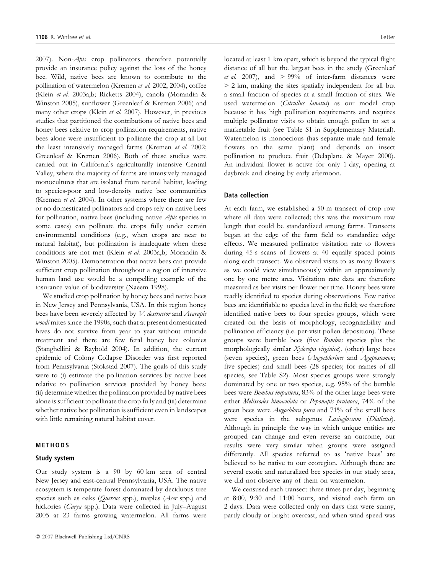2007). Non-Apis crop pollinators therefore potentially provide an insurance policy against the loss of the honey bee. Wild, native bees are known to contribute to the pollination of watermelon (Kremen et al. 2002, 2004), coffee (Klein et al. 2003a,b; Ricketts 2004), canola (Morandin & Winston 2005), sunflower (Greenleaf & Kremen 2006) and many other crops (Klein et al. 2007). However, in previous studies that partitioned the contributions of native bees and honey bees relative to crop pollination requirements, native bees alone were insufficient to pollinate the crop at all but the least intensively managed farms (Kremen et al. 2002; Greenleaf & Kremen 2006). Both of these studies were carried out in California's agriculturally intensive Central Valley, where the majority of farms are intensively managed monocultures that are isolated from natural habitat, leading to species-poor and low-density native bee communities (Kremen et al. 2004). In other systems where there are few or no domesticated pollinators and crops rely on native bees for pollination, native bees (including native Apis species in some cases) can pollinate the crops fully under certain environmental conditions (e.g., when crops are near to natural habitat), but pollination is inadequate when these conditions are not met (Klein et al. 2003a,b; Morandin & Winston 2005). Demonstration that native bees can provide sufficient crop pollination throughout a region of intensive human land use would be a compelling example of the insurance value of biodiversity (Naeem 1998).

We studied crop pollination by honey bees and native bees in New Jersey and Pennsylvania, USA. In this region honey bees have been severely affected by V. destructor and Acarapis woodi mites since the 1990s, such that at present domesticated hives do not survive from year to year without miticide treatment and there are few feral honey bee colonies (Stanghellini & Raybold 2004). In addition, the current epidemic of Colony Collapse Disorder was first reported from Pennsylvania (Stokstad 2007). The goals of this study were to (i) estimate the pollination services by native bees relative to pollination services provided by honey bees; (ii) determine whether the pollination provided by native bees alone is sufficient to pollinate the crop fully and (iii) determine whether native bee pollination is sufficient even in landscapes with little remaining natural habitat cover.

#### METHODS

#### Study system

Our study system is a 90 by 60 km area of central New Jersey and east-central Pennsylvania, USA. The native ecosystem is temperate forest dominated by deciduous tree species such as oaks (Quercus spp.), maples (Acer spp.) and hickories (Carya spp.). Data were collected in July–August 2005 at 23 farms growing watermelon. All farms were located at least 1 km apart, which is beyond the typical flight distance of all but the largest bees in the study (Greenleaf et al. 2007), and  $> 99\%$  of inter-farm distances were > 2 km, making the sites spatially independent for all but a small fraction of species at a small fraction of sites. We used watermelon (Citrullus lanatus) as our model crop because it has high pollination requirements and requires multiple pollinator visits to obtain enough pollen to set a marketable fruit (see Table S1 in Supplementary Material). Watermelon is monoecious (has separate male and female flowers on the same plant) and depends on insect pollination to produce fruit (Delaplane & Mayer 2000). An individual flower is active for only 1 day, opening at daybreak and closing by early afternoon.

#### Data collection

At each farm, we established a 50-m transect of crop row where all data were collected; this was the maximum row length that could be standardized among farms. Transects began at the edge of the farm field to standardize edge effects. We measured pollinator visitation rate to flowers during 45-s scans of flowers at 40 equally spaced points along each transect. We observed visits to as many flowers as we could view simultaneously within an approximately one by one metre area. Visitation rate data are therefore measured as bee visits per flower per time. Honey bees were readily identified to species during observations. Few native bees are identifiable to species level in the field; we therefore identified native bees to four species groups, which were created on the basis of morphology, recognizability and pollination efficiency (i.e. per-visit pollen deposition). These groups were bumble bees (five Bombus species plus the morphologically similar Xylocopa virginica), (other) large bees (seven species), green bees (Augochlorines and Agapostemon; five species) and small bees (28 species; for names of all species, see Table S2). Most species groups were strongly dominated by one or two species, e.g. 95% of the bumble bees were Bombus impatiens, 83% of the other large bees were either Melissodes bimaculata or Peponapis pruinosa, 74% of the green bees were *Augochlora pura* and 71% of the small bees were species in the subgenus *Lasioglossum* (Dialictus). Although in principle the way in which unique entities are grouped can change and even reverse an outcome, our results were very similar when groups were assigned differently. All species referred to as 'native bees' are believed to be native to our ecoregion. Although there are several exotic and naturalized bee species in our study area, we did not observe any of them on watermelon.

We censused each transect three times per day, beginning at 8:00, 9:30 and 11:00 hours, and visited each farm on 2 days. Data were collected only on days that were sunny, partly cloudy or bright overcast, and when wind speed was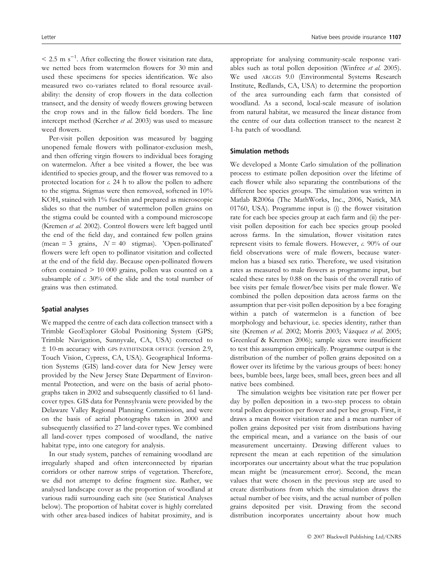$\leq$  2.5 m s<sup>-1</sup>. After collecting the flower visitation rate data, we netted bees from watermelon flowers for 30 min and used these specimens for species identification. We also measured two co-variates related to floral resource availability: the density of crop flowers in the data collection transect, and the density of weedy flowers growing between the crop rows and in the fallow field borders. The line intercept method (Kercher et al. 2003) was used to measure weed flowers.

Per-visit pollen deposition was measured by bagging unopened female flowers with pollinator-exclusion mesh, and then offering virgin flowers to individual bees foraging on watermelon. After a bee visited a flower, the bee was identified to species group, and the flower was removed to a protected location for  $c$ . 24 h to allow the pollen to adhere to the stigma. Stigmas were then removed, softened in 10% KOH, stained with 1% fuschin and prepared as microscopic slides so that the number of watermelon pollen grains on the stigma could be counted with a compound microscope (Kremen et al. 2002). Control flowers were left bagged until the end of the field day, and contained few pollen grains  $(\text{mean} = 3 \text{ grains}, N = 40 \text{sigma}).$  'Open-pollinated' flowers were left open to pollinator visitation and collected at the end of the field day. Because open-pollinated flowers often contained > 10 000 grains, pollen was counted on a subsample of  $c$ . 30% of the slide and the total number of grains was then estimated.

#### Spatial analyses

We mapped the centre of each data collection transect with a Trimble GeoExplorer Global Positioning System (GPS; Trimble Navigation, Sunnyvale, CA, USA) corrected to  $±$  10-m accuracy with GPS PATHFINDER OFFICE (version 2.9, Touch Vision, Cypress, CA, USA). Geographical Information Systems (GIS) land-cover data for New Jersey were provided by the New Jersey State Department of Environmental Protection, and were on the basis of aerial photographs taken in 2002 and subsequently classified to 61 landcover types. GIS data for Pennsylvania were provided by the Delaware Valley Regional Planning Commission, and were on the basis of aerial photographs taken in 2000 and subsequently classified to 27 land-cover types. We combined all land-cover types composed of woodland, the native habitat type, into one category for analysis.

In our study system, patches of remaining woodland are irregularly shaped and often interconnected by riparian corridors or other narrow strips of vegetation. Therefore, we did not attempt to define fragment size. Rather, we analysed landscape cover as the proportion of woodland at various radii surrounding each site (see Statistical Analyses below). The proportion of habitat cover is highly correlated with other area-based indices of habitat proximity, and is appropriate for analysing community-scale response variables such as total pollen deposition (Winfree et al. 2005). We used ARCGIS 9.0 (Environmental Systems Research Institute, Redlands, CA, USA) to determine the proportion of the area surrounding each farm that consisted of woodland. As a second, local-scale measure of isolation from natural habitat, we measured the linear distance from the centre of our data collection transect to the nearest  $\geq$ 1-ha patch of woodland.

#### Simulation methods

We developed a Monte Carlo simulation of the pollination process to estimate pollen deposition over the lifetime of each flower while also separating the contributions of the different bee species groups. The simulation was written in Matlab R2006a (The MathWorks, Inc., 2006, Natick, MA 01760, USA). Programme input is (i) the flower visitation rate for each bee species group at each farm and (ii) the pervisit pollen deposition for each bee species group pooled across farms. In the simulation, flower visitation rates represent visits to female flowers. However, c. 90% of our field observations were of male flowers, because watermelon has a biased sex ratio. Therefore, we used visitation rates as measured to male flowers as programme input, but scaled these rates by 0.88 on the basis of the overall ratio of bee visits per female flower⁄ bee visits per male flower. We combined the pollen deposition data across farms on the assumption that per-visit pollen deposition by a bee foraging within a patch of watermelon is a function of bee morphology and behaviour, i.e. species identity, rather than site (Kremen et al. 2002; Morris 2003; Vázquez et al. 2005; Greenleaf & Kremen 2006); sample sizes were insufficient to test this assumption empirically. Programme output is the distribution of the number of pollen grains deposited on a flower over its lifetime by the various groups of bees: honey bees, bumble bees, large bees, small bees, green bees and all native bees combined.

The simulation weights bee visitation rate per flower per day by pollen deposition in a two-step process to obtain total pollen deposition per flower and per bee group. First, it draws a mean flower visitation rate and a mean number of pollen grains deposited per visit from distributions having the empirical mean, and a variance on the basis of our measurement uncertainty. Drawing different values to represent the mean at each repetition of the simulation incorporates our uncertainty about what the true population mean might be (measurement error). Second, the mean values that were chosen in the previous step are used to create distributions from which the simulation draws the actual number of bee visits, and the actual number of pollen grains deposited per visit. Drawing from the second distribution incorporates uncertainty about how much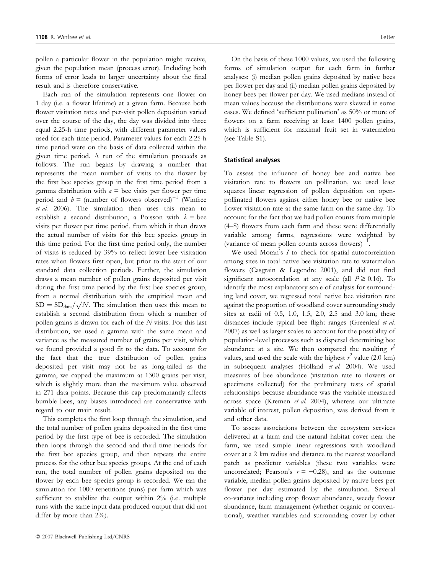pollen a particular flower in the population might receive, given the population mean (process error). Including both forms of error leads to larger uncertainty about the final result and is therefore conservative.

Each run of the simulation represents one flower on 1 day (i.e. a flower lifetime) at a given farm. Because both flower visitation rates and per-visit pollen deposition varied over the course of the day, the day was divided into three equal 2.25-h time periods, with different parameter values used for each time period. Parameter values for each 2.25-h time period were on the basis of data collected within the given time period. A run of the simulation proceeds as follows. The run begins by drawing a number that represents the mean number of visits to the flower by the first bee species group in the first time period from a gamma distribution with  $a =$  bee visits per flower per time period and  $b =$  (number of flowers observed)<sup>-1</sup> (Winfree et al. 2006). The simulation then uses this mean to establish a second distribution, a Poisson with  $\lambda =$  bee visits per flower per time period, from which it then draws the actual number of visits for this bee species group in this time period. For the first time period only, the number of visits is reduced by 39% to reflect lower bee visitation rates when flowers first open, but prior to the start of our standard data collection periods. Further, the simulation draws a mean number of pollen grains deposited per visit during the first time period by the first bee species group, from a normal distribution with the empirical mean and  $SD = SD<sub>data</sub>/\sqrt{N}$ . The simulation then uses this mean to establish a second distribution from which a number of pollen grains is drawn for each of the  $N$  visits. For this last distribution, we used a gamma with the same mean and variance as the measured number of grains per visit, which we found provided a good fit to the data. To account for the fact that the true distribution of pollen grains deposited per visit may not be as long-tailed as the gamma, we capped the maximum at 1300 grains per visit, which is slightly more than the maximum value observed in 271 data points. Because this cap predominantly affects bumble bees, any biases introduced are conservative with regard to our main result.

This completes the first loop through the simulation, and the total number of pollen grains deposited in the first time period by the first type of bee is recorded. The simulation then loops through the second and third time periods for the first bee species group, and then repeats the entire process for the other bee species groups. At the end of each run, the total number of pollen grains deposited on the flower by each bee species group is recorded. We ran the simulation for 1000 repetitions (runs) per farm which was sufficient to stabilize the output within 2% (i.e. multiple runs with the same input data produced output that did not differ by more than  $2\%$ ).

On the basis of these 1000 values, we used the following forms of simulation output for each farm in further analyses: (i) median pollen grains deposited by native bees per flower per day and (ii) median pollen grains deposited by honey bees per flower per day. We used medians instead of mean values because the distributions were skewed in some cases. We defined 'sufficient pollination' as 50% or more of flowers on a farm receiving at least 1400 pollen grains, which is sufficient for maximal fruit set in watermelon (see Table S1).

#### Statistical analyses

To assess the influence of honey bee and native bee visitation rate to flowers on pollination, we used least squares linear regression of pollen deposition on openpollinated flowers against either honey bee or native bee flower visitation rate at the same farm on the same day. To account for the fact that we had pollen counts from multiple (4–8) flowers from each farm and these were differentially variable among farms, regressions were weighted by (variance of mean pollen counts across flowers) $^{-1}$ .

We used Moran's  $I$  to check for spatial autocorrelation among sites in total native bee visitation rate to watermelon flowers (Casgrain & Legendre 2001), and did not find significant autocorrelation at any scale (all  $P \ge 0.16$ ). To identify the most explanatory scale of analysis for surrounding land cover, we regressed total native bee visitation rate against the proportion of woodland cover surrounding study sites at radii of 0.5, 1.0, 1.5, 2.0, 2.5 and 3.0 km; these distances include typical bee flight ranges (Greenleaf et al. 2007) as well as larger scales to account for the possibility of population-level processes such as dispersal determining bee abundance at a site. We then compared the resulting  $r^2$ values, and used the scale with the highest  $r^2$  value (2.0 km) in subsequent analyses (Holland et al. 2004). We used measures of bee abundance (visitation rate to flowers or specimens collected) for the preliminary tests of spatial relationships because abundance was the variable measured across space (Kremen et al. 2004), whereas our ultimate variable of interest, pollen deposition, was derived from it and other data.

To assess associations between the ecosystem services delivered at a farm and the natural habitat cover near the farm, we used simple linear regressions with woodland cover at a 2 km radius and distance to the nearest woodland patch as predictor variables (these two variables were uncorrelated; Pearson's  $r = -0.28$ ), and as the outcome variable, median pollen grains deposited by native bees per flower per day estimated by the simulation. Several co-variates including crop flower abundance, weedy flower abundance, farm management (whether organic or conventional), weather variables and surrounding cover by other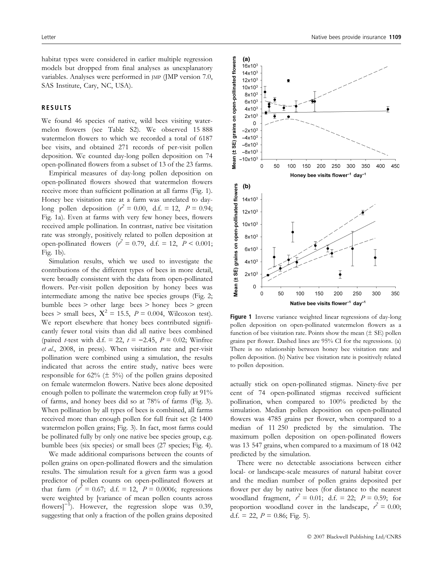habitat types were considered in earlier multiple regression models but dropped from final analyses as unexplanatory variables. Analyses were performed in JMP (JMP version 7.0, SAS Institute, Cary, NC, USA).

#### RESULTS

We found 46 species of native, wild bees visiting watermelon flowers (see Table S2). We observed 15 888 watermelon flowers to which we recorded a total of 6187 bee visits, and obtained 271 records of per-visit pollen deposition. We counted day-long pollen deposition on 74 open-pollinated flowers from a subset of 13 of the 23 farms.

Empirical measures of day-long pollen deposition on open-pollinated flowers showed that watermelon flowers receive more than sufficient pollination at all farms (Fig. 1). Honey bee visitation rate at a farm was unrelated to daylong pollen deposition ( $r^2 = 0.00$ , d.f. = 12,  $P = 0.94$ ; Fig. 1a). Even at farms with very few honey bees, flowers received ample pollination. In contrast, native bee visitation rate was strongly, positively related to pollen deposition at open-pollinated flowers  $(r^2 = 0.79, d.f. = 12, P < 0.001;$ Fig. 1b).

Simulation results, which we used to investigate the contributions of the different types of bees in more detail, were broadly consistent with the data from open-pollinated flowers. Per-visit pollen deposition by honey bees was intermediate among the native bee species groups (Fig. 2; bumble bees > other large bees > honey bees > green bees > small bees,  $X^2 = 15.5$ ,  $P = 0.004$ , Wilcoxon test). We report elsewhere that honey bees contributed significantly fewer total visits than did all native bees combined (paired *t*-test with d.f. = 22,  $t = -2.45$ ,  $P = 0.02$ ; Winfree et al., 2008, in press). When visitation rate and per-visit pollination were combined using a simulation, the results indicated that across the entire study, native bees were responsible for  $62\%$  ( $\pm$  5%) of the pollen grains deposited on female watermelon flowers. Native bees alone deposited enough pollen to pollinate the watermelon crop fully at 91% of farms, and honey bees did so at 78% of farms (Fig. 3). When pollination by all types of bees is combined, all farms received more than enough pollen for full fruit set  $(≥ 1400$ watermelon pollen grains; Fig. 3). In fact, most farms could be pollinated fully by only one native bee species group, e.g. bumble bees (six species) or small bees (27 species; Fig. 4).

We made additional comparisons between the counts of pollen grains on open-pollinated flowers and the simulation results. The simulation result for a given farm was a good predictor of pollen counts on open-pollinated flowers at that farm  $(r^2 = 0.67; d.f. = 12, P = 0.0006;$  regressions were weighted by [variance of mean pollen counts across flowers] $^{-1}$ ). However, the regression slope was 0.39, suggesting that only a fraction of the pollen grains deposited



Figure 1 Inverse variance weighted linear regressions of day-long pollen deposition on open-pollinated watermelon flowers as a function of bee visitation rate. Points show the mean  $(\pm \text{ SE})$  pollen grains per flower. Dashed lines are 95% CI for the regressions. (a) There is no relationship between honey bee visitation rate and pollen deposition. (b) Native bee visitation rate is positively related to pollen deposition.

actually stick on open-pollinated stigmas. Ninety-five per cent of 74 open-pollinated stigmas received sufficient pollination, when compared to 100% predicted by the simulation. Median pollen deposition on open-pollinated flowers was 4785 grains per flower, when compared to a median of 11 250 predicted by the simulation. The maximum pollen deposition on open-pollinated flowers was 13 547 grains, when compared to a maximum of 18 042 predicted by the simulation.

There were no detectable associations between either local- or landscape-scale measures of natural habitat cover and the median number of pollen grains deposited per flower per day by native bees (for distance to the nearest woodland fragment,  $r^2 = 0.01$ ; d.f. = 22;  $P = 0.59$ ; for proportion woodland cover in the landscape,  $r^2 = 0.00$ ; d.f. = 22,  $P = 0.86$ ; Fig. 5).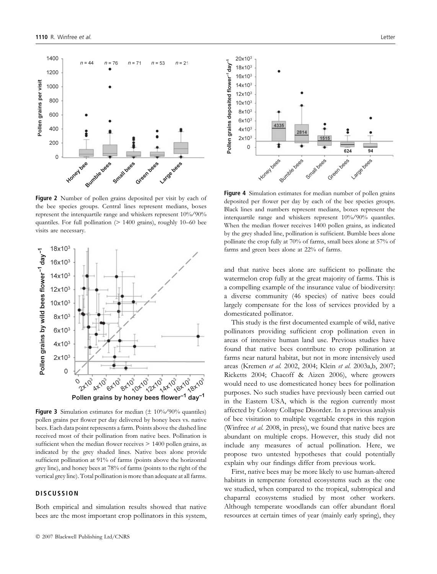

Figure 2 Number of pollen grains deposited per visit by each of the bee species groups. Central lines represent medians, boxes represent the interquartile range and whiskers represent  $10\%/90\%$ quantiles. For full pollination (> 1400 grains), roughly 10–60 bee visits are necessary.



Figure 3 Simulation estimates for median ( $\pm$  10%/90% quantiles) pollen grains per flower per day delivered by honey bees vs. native bees. Each data point represents a farm. Points above the dashed line received most of their pollination from native bees. Pollination is sufficient when the median flower receives  $> 1400$  pollen grains, as indicated by the grey shaded lines. Native bees alone provide sufficient pollination at 91% of farms (points above the horizontal grey line), and honey bees at 78% of farms (points to the right of the vertical grey line). Total pollination is more than adequate at all farms.

#### **DISCUSSION**

Both empirical and simulation results showed that native bees are the most important crop pollinators in this system,



Figure 4 Simulation estimates for median number of pollen grains deposited per flower per day by each of the bee species groups. Black lines and numbers represent medians, boxes represent the interquartile range and whiskers represent 10% ⁄ 90% quantiles. When the median flower receives 1400 pollen grains, as indicated by the grey shaded line, pollination is sufficient. Bumble bees alone pollinate the crop fully at 70% of farms, small bees alone at 57% of farms and green bees alone at 22% of farms.

and that native bees alone are sufficient to pollinate the watermelon crop fully at the great majority of farms. This is a compelling example of the insurance value of biodiversity: a diverse community (46 species) of native bees could largely compensate for the loss of services provided by a domesticated pollinator.

This study is the first documented example of wild, native pollinators providing sufficient crop pollination even in areas of intensive human land use. Previous studies have found that native bees contribute to crop pollination at farms near natural habitat, but not in more intensively used areas (Kremen et al. 2002, 2004; Klein et al. 2003a,b, 2007; Ricketts 2004; Chacoff & Aizen 2006), where growers would need to use domesticated honey bees for pollination purposes. No such studies have previously been carried out in the Eastern USA, which is the region currently most affected by Colony Collapse Disorder. In a previous analysis of bee visitation to multiple vegetable crops in this region (Winfree et al. 2008, in press), we found that native bees are abundant on multiple crops. However, this study did not include any measures of actual pollination. Here, we propose two untested hypotheses that could potentially explain why our findings differ from previous work.

First, native bees may be more likely to use human-altered habitats in temperate forested ecosystems such as the one we studied, when compared to the tropical, subtropical and chaparral ecosystems studied by most other workers. Although temperate woodlands can offer abundant floral resources at certain times of year (mainly early spring), they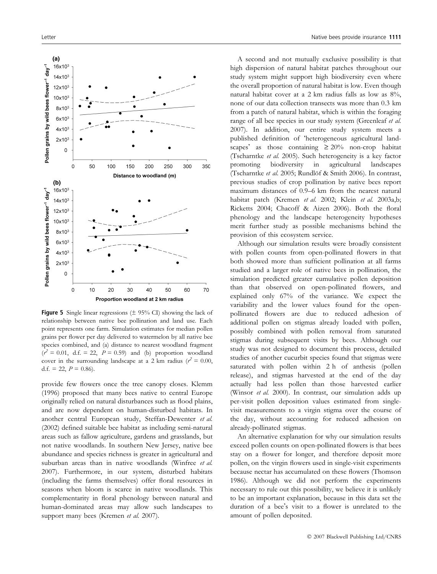

**Figure 5** Single linear regressions  $(\pm 95\% \text{ CI})$  showing the lack of relationship between native bee pollination and land use. Each point represents one farm. Simulation estimates for median pollen grains per flower per day delivered to watermelon by all native bee species combined, and (a) distance to nearest woodland fragment  $(r^2 = 0.01, d.f. = 22, P = 0.59)$  and (b) proportion woodland cover in the surrounding landscape at a 2 km radius ( $r^2 = 0.00$ , d.f. = 22,  $P = 0.86$ .

provide few flowers once the tree canopy closes. Klemm (1996) proposed that many bees native to central Europe originally relied on natural disturbances such as flood plains, and are now dependent on human-disturbed habitats. In another central European study, Steffan-Dewenter et al. (2002) defined suitable bee habitat as including semi-natural areas such as fallow agriculture, gardens and grasslands, but not native woodlands. In southern New Jersey, native bee abundance and species richness is greater in agricultural and suburban areas than in native woodlands (Winfree et al. 2007). Furthermore, in our system, disturbed habitats (including the farms themselves) offer floral resources in seasons when bloom is scarce in native woodlands. This complementarity in floral phenology between natural and human-dominated areas may allow such landscapes to support many bees (Kremen et al. 2007).

A second and not mutually exclusive possibility is that high dispersion of natural habitat patches throughout our study system might support high biodiversity even where the overall proportion of natural habitat is low. Even though natural habitat cover at a 2 km radius falls as low as 8%, none of our data collection transects was more than 0.3 km from a patch of natural habitat, which is within the foraging range of all bee species in our study system (Greenleaf et al. 2007). In addition, our entire study system meets a published definition of 'heterogeneous agricultural landscapes' as those containing  $\geq 20\%$  non-crop habitat (Tscharntke et al. 2005). Such heterogeneity is a key factor promoting biodiversity in agricultural landscapes (Tscharntke et al. 2005; Rundlöf & Smith 2006). In contrast, previous studies of crop pollination by native bees report maximum distances of 0.9–6 km from the nearest natural habitat patch (Kremen et al. 2002; Klein et al. 2003a,b; Ricketts 2004; Chacoff & Aizen 2006). Both the floral phenology and the landscape heterogeneity hypotheses merit further study as possible mechanisms behind the provision of this ecosystem service.

Although our simulation results were broadly consistent with pollen counts from open-pollinated flowers in that both showed more than sufficient pollination at all farms studied and a larger role of native bees in pollination, the simulation predicted greater cumulative pollen deposition than that observed on open-pollinated flowers, and explained only 67% of the variance. We expect the variability and the lower values found for the openpollinated flowers are due to reduced adhesion of additional pollen on stigmas already loaded with pollen, possibly combined with pollen removal from saturated stigmas during subsequent visits by bees. Although our study was not designed to document this process, detailed studies of another cucurbit species found that stigmas were saturated with pollen within 2 h of anthesis (pollen release), and stigmas harvested at the end of the day actually had less pollen than those harvested earlier (Winsor et al. 2000). In contrast, our simulation adds up per-visit pollen deposition values estimated from singlevisit measurements to a virgin stigma over the course of the day, without accounting for reduced adhesion on already-pollinated stigmas.

An alternative explanation for why our simulation results exceed pollen counts on open-pollinated flowers is that bees stay on a flower for longer, and therefore deposit more pollen, on the virgin flowers used in single-visit experiments because nectar has accumulated on these flowers (Thomson 1986). Although we did not perform the experiments necessary to rule out this possibility, we believe it is unlikely to be an important explanation, because in this data set the duration of a bee's visit to a flower is unrelated to the amount of pollen deposited.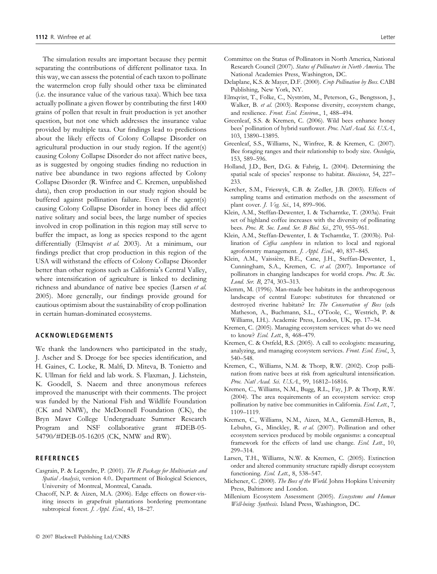The simulation results are important because they permit separating the contributions of different pollinator taxa. In this way, we can assess the potential of each taxon to pollinate the watermelon crop fully should other taxa be eliminated (i.e. the insurance value of the various taxa). Which bee taxa actually pollinate a given flower by contributing the first 1400 grains of pollen that result in fruit production is yet another question, but not one which addresses the insurance value provided by multiple taxa. Our findings lead to predictions about the likely effects of Colony Collapse Disorder on agricultural production in our study region. If the agent(s) causing Colony Collapse Disorder do not affect native bees, as is suggested by ongoing studies finding no reduction in native bee abundance in two regions affected by Colony Collapse Disorder (R. Winfree and C. Kremen, unpublished data), then crop production in our study region should be buffered against pollination failure. Even if the agent(s) causing Colony Collapse Disorder in honey bees did affect native solitary and social bees, the large number of species involved in crop pollination in this region may still serve to buffer the impact, as long as species respond to the agent differentially (Elmqvist et al. 2003). At a minimum, our findings predict that crop production in this region of the USA will withstand the effects of Colony Collapse Disorder better than other regions such as California's Central Valley, where intensification of agriculture is linked to declining richness and abundance of native bee species (Larsen et al. 2005). More generally, our findings provide ground for cautious optimism about the sustainability of crop pollination in certain human-dominated ecosystems.

#### ACKNOWLEDGEMENTS

We thank the landowners who participated in the study, J. Ascher and S. Droege for bee species identification, and H. Gaines, C. Locke, R. Malfi, D. Miteva, B. Tonietto and K. Ullman for field and lab work. S. Flaxman, J. Lichstein, K. Goodell, S. Naeem and three anonymous referees improved the manuscript with their comments. The project was funded by the National Fish and Wildlife Foundation (CK and NMW), the McDonnell Foundation (CK), the Bryn Mawr College Undergraduate Summer Research Program and NSF collaborative grant #DEB-05- 54790/#DEB-05-16205 (CK, NMW and RW).

#### REFERENCES

- Casgrain, P. & Legendre, P. (2001). The R Package for Multivariate and Spatial Analysis, version 4.0.. Department of Biological Sciences, University of Montreal, Montreal, Canada.
- Chacoff, N.P. & Aizen, M.A. (2006). Edge effects on flower-visiting insects in grapefruit plantations bordering premontane subtropical forest. *J. Appl. Ecol.*, 43, 18-27.
- Committee on the Status of Pollinators in North America, National Research Council (2007). Status of Pollinators in North America. The National Academies Press, Washington, DC.
- Delaplane, K.S. & Mayer, D.F. (2000). Crop Pollination by Bees. CABI Publishing, New York, NY.
- Elmqvist, T., Folke, C., Nyström, M., Peterson, G., Bengtsson, J., Walker, B. et al. (2003). Response diversity, ecosystem change, and resilience. Front. Ecol. Environ., 1, 488–494.
- Greenleaf, S.S. & Kremen, C. (2006). Wild bees enhance honey bees' pollination of hybrid sunflower. Proc. Natl Acad. Sci. U.S.A., 103, 13890–13895.
- Greenleaf, S.S., Williams, N., Winfree, R. & Kremen, C. (2007). Bee foraging ranges and their relationship to body size. Oecologia, 153, 589–596.
- Holland, J.D., Bert, D.G. & Fahrig, L. (2004). Determining the spatial scale of species' response to habitat. Bioscience, 54, 227-233.
- Kercher, S.M., Frieswyk, C.B. & Zedler, J.B. (2003). Effects of sampling teams and estimation methods on the assessment of plant cover. J. Veg. Sci., 14, 899–906.
- Klein, A.M., Steffan-Dewenter, I. & Tscharntke, T. (2003a). Fruit set of highland coffee increases with the diversity of pollinating bees. Proc. R. Soc. Lond. Ser. B Biol. Sci., 270, 955–961.
- Klein, A.M., Steffan-Dewenter, I. & Tscharntke, T. (2003b). Pollination of Coffea canephora in relation to local and regional agroforestry management. J. Appl. Ecol., 40, 837–845.
- Klein, A.M., Vaissière, B.E., Cane, J.H., Steffan-Dewenter, I., Cunningham, S.A., Kremen, C. et al. (2007). Importance of pollinators in changing landscapes for world crops. Proc. R. Soc. Lond. Ser. B, 274, 303–313.
- Klemm, M. (1996). Man-made bee habitats in the anthropogenous landscape of central Europe: substitutes for threatened or destroyed riverine habitats? In: The Conservation of Bees (eds Matheson, A., Buchmann, S.L., OToole, C., Westrich, P. & Williams, I.H.). Academic Press, London, UK, pp. 17–34.
- Kremen, C. (2005). Managing ecosystem services: what do we need to know? Ecol. Lett., 8, 468-479.
- Kremen, C. & Ostfeld, R.S. (2005). A call to ecologists: measuring, analyzing, and managing ecosystem services. Front. Ecol. Evol., 3, 540–548.
- Kremen, C., Williams, N.M. & Thorp, R.W. (2002). Crop pollination from native bees at risk from agricultural intensification. Proc. Natl Acad. Sci. U.S.A., 99, 16812-16816.
- Kremen, C., Williams, N.M., Bugg, R.L., Fay, J.P. & Thorp, R.W. (2004). The area requirements of an ecosystem service: crop pollination by native bee communities in California. Ecol. Lett., 7, 1109–1119.
- Kremen, C., Williams, N.M., Aizen, M.A., Gemmill-Herren, B., Lebuhn, G., Minckley, R. et al. (2007). Pollination and other ecosystem services produced by mobile organisms: a conceptual framework for the effects of land use change. Ecol. Lett., 10, 299–314.
- Larsen, T.H., Williams, N.W. & Kremen, C. (2005). Extinction order and altered community structure rapidly disrupt ecosystem functioning. Ecol. Lett., 8, 538-547.
- Michener, C. (2000). The Bees of the World. Johns Hopkins University Press, Baltimore and London.
- Millenium Ecosystem Assessment (2005). Ecosystems and Human Well-being: Synthesis. Island Press, Washington, DC.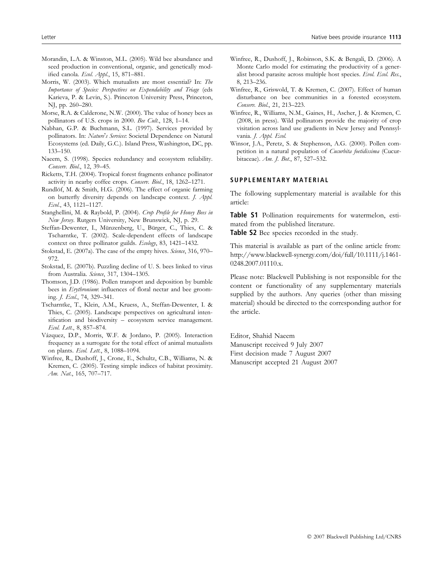- Morandin, L.A. & Winston, M.L. (2005). Wild bee abundance and seed production in conventional, organic, and genetically modified canola. Ecol. Appl., 15, 871–881.
- Morris, W. (2003). Which mutualists are most essential? In: The Importance of Species: Perspectives on Expendability and Triage (eds Karieva, P. & Levin, S.). Princeton University Press, Princeton, NJ, pp. 260–280.
- Morse, R.A. & Calderone, N.W. (2000). The value of honey bees as pollinators of U.S. crops in 2000. Bee Cult., 128, 1-14.
- Nabhan, G.P. & Buchmann, S.L. (1997). Services provided by pollinators. In: Nature's Services: Societal Dependence on Natural Ecosystems (ed. Daily, G.C.). Island Press, Washington, DC, pp. 133–150.
- Naeem, S. (1998). Species redundancy and ecosystem reliability. Conserv. Biol., 12, 39–45.
- Ricketts, T.H. (2004). Tropical forest fragments enhance pollinator activity in nearby coffee crops. Conserv. Biol., 18, 1262–1271.
- Rundlöf, M. & Smith, H.G. (2006). The effect of organic farming on butterfly diversity depends on landscape context. J. Appl. Ecol., 43, 1121–1127.
- Stanghellini, M. & Raybold, P. (2004). Crop Profile for Honey Bees in New Jersey. Rutgers University, New Brunswick, NJ, p. 29.
- Steffan-Dewenter, I., Münzenberg, U., Bürger, C., Thies, C. & Tscharntke, T. (2002). Scale-dependent effects of landscape context on three pollinator guilds. Ecology, 83, 1421–1432.
- Stokstad, E. (2007a). The case of the empty hives. Science, 316, 970– 972.
- Stokstad, E. (2007b). Puzzling decline of U. S. bees linked to virus from Australia. Science, 317, 1304–1305.
- Thomson, J.D. (1986). Pollen transport and deposition by bumble bees in *Erythronium*: influences of floral nectar and bee grooming. J. Ecol., 74, 329–341.
- Tscharntke, T., Klein, A.M., Kruess, A., Steffan-Dewenter, I. & Thies, C. (2005). Landscape perspectives on agricultural intensification and biodiversity – ecosystem service management. Ecol. Lett., 8, 857–874.
- Vázquez, D.P., Morris, W.F. & Jordano, P. (2005). Interaction frequency as a surrogate for the total effect of animal mutualists on plants. Ecol. Lett., 8, 1088-1094.
- Winfree, R., Dushoff, J., Crone, E., Schultz, C.B., Williams, N. & Kremen, C. (2005). Testing simple indices of habitat proximity. Am. Nat., 165, 707-717.
- Winfree, R., Dushoff, J., Robinson, S.K. & Bengali, D. (2006). A Monte Carlo model for estimating the productivity of a generalist brood parasite across multiple host species. Evol. Ecol. Res., 8, 213–236.
- Winfree, R., Griswold, T. & Kremen, C. (2007). Effect of human disturbance on bee communities in a forested ecosystem. Conserv. Biol., 21, 213–223.
- Winfree, R., Williams, N.M., Gaines, H., Ascher, J. & Kremen, C. (2008, in press). Wild pollinators provide the majority of crop visitation across land use gradients in New Jersey and Pennsylvania. J. Appl. Ecol.
- Winsor, J.A., Peretz, S. & Stephenson, A.G. (2000). Pollen competition in a natural population of Cucurbita foetidissima (Cucurbitaceae). Am. J. Bot., 87, 527-532.

### SUPPLEMENTARY MATERIAL

The following supplementary material is available for this article:

Table S1 Pollination requirements for watermelon, estimated from the published literature.

**Table S2** Bee species recorded in the study.

This material is available as part of the online article from: http://www.blackwell-synergy.com/doi/full/10.1111/j.1461- 0248.2007.01110.x.

Please note: Blackwell Publishing is not responsible for the content or functionality of any supplementary materials supplied by the authors. Any queries (other than missing material) should be directed to the corresponding author for the article.

Editor, Shahid Naeem Manuscript received 9 July 2007 First decision made 7 August 2007 Manuscript accepted 21 August 2007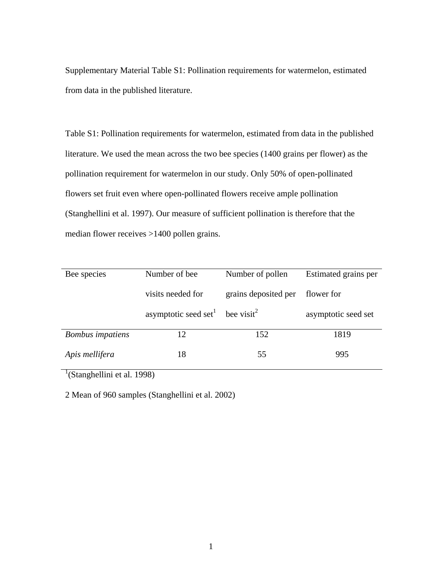Supplementary Material Table S1: Pollination requirements for watermelon, estimated from data in the published literature.

Table S1: Pollination requirements for watermelon, estimated from data in the published literature. We used the mean across the two bee species (1400 grains per flower) as the pollination requirement for watermelon in our study. Only 50% of open-pollinated flowers set fruit even where open-pollinated flowers receive ample pollination (Stanghellini et al. 1997). Our measure of sufficient pollination is therefore that the median flower receives >1400 pollen grains.

| Bee species             | Number of bee                                           | Number of pollen     | Estimated grains per |
|-------------------------|---------------------------------------------------------|----------------------|----------------------|
|                         | visits needed for                                       | grains deposited per | flower for           |
|                         | asymptotic seed set <sup>1</sup> bee visit <sup>2</sup> |                      | asymptotic seed set  |
| <b>Bombus</b> impatiens | 12                                                      | 152                  | 1819                 |
| Apis mellifera          | 18                                                      | 55                   | 995                  |

<sup>1</sup>(Stanghellini et al. 1998)

2 Mean of 960 samples (Stanghellini et al. 2002)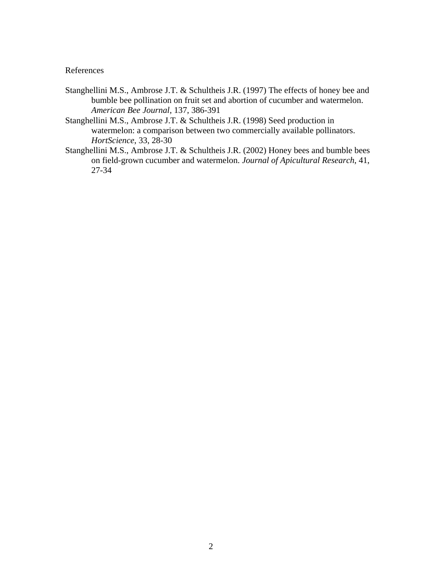## References

- Stanghellini M.S., Ambrose J.T. & Schultheis J.R. (1997) The effects of honey bee and bumble bee pollination on fruit set and abortion of cucumber and watermelon. *American Bee Journal*, 137, 386-391
- Stanghellini M.S., Ambrose J.T. & Schultheis J.R. (1998) Seed production in watermelon: a comparison between two commercially available pollinators. *HortScience*, 33, 28-30
- Stanghellini M.S., Ambrose J.T. & Schultheis J.R. (2002) Honey bees and bumble bees on field-grown cucumber and watermelon. *Journal of Apicultural Research*, 41, 27-34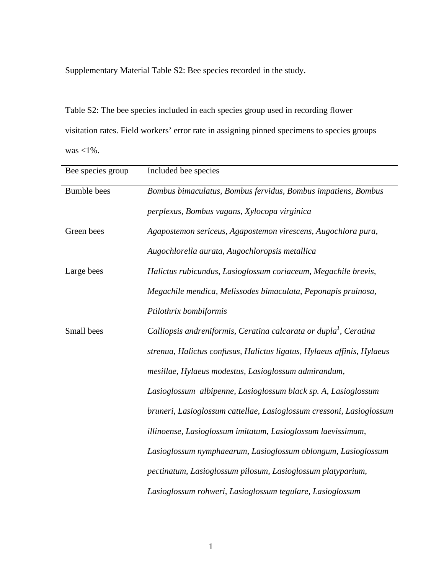Supplementary Material Table S2: Bee species recorded in the study.

Table S2: The bee species included in each species group used in recording flower visitation rates. Field workers' error rate in assigning pinned specimens to species groups was <1%.

| Bee species group  | Included bee species                                                          |  |  |
|--------------------|-------------------------------------------------------------------------------|--|--|
| <b>Bumble</b> bees | Bombus bimaculatus, Bombus fervidus, Bombus impatiens, Bombus                 |  |  |
|                    | perplexus, Bombus vagans, Xylocopa virginica                                  |  |  |
| Green bees         | Agapostemon sericeus, Agapostemon virescens, Augochlora pura,                 |  |  |
|                    | Augochlorella aurata, Augochloropsis metallica                                |  |  |
| Large bees         | Halictus rubicundus, Lasioglossum coriaceum, Megachile brevis,                |  |  |
|                    | Megachile mendica, Melissodes bimaculata, Peponapis pruinosa,                 |  |  |
|                    | Ptilothrix bombiformis                                                        |  |  |
| Small bees         | Calliopsis andreniformis, Ceratina calcarata or dupla <sup>1</sup> , Ceratina |  |  |
|                    | strenua, Halictus confusus, Halictus ligatus, Hylaeus affinis, Hylaeus        |  |  |
|                    | mesillae, Hylaeus modestus, Lasioglossum admirandum,                          |  |  |
|                    | Lasioglossum albipenne, Lasioglossum black sp. A, Lasioglossum                |  |  |
|                    | bruneri, Lasioglossum cattellae, Lasioglossum cressoni, Lasioglossum          |  |  |
|                    | illinoense, Lasioglossum imitatum, Lasioglossum laevissimum,                  |  |  |
|                    | Lasioglossum nymphaearum, Lasioglossum oblongum, Lasioglossum                 |  |  |
|                    | pectinatum, Lasioglossum pilosum, Lasioglossum platyparium,                   |  |  |
|                    | Lasioglossum rohweri, Lasioglossum tegulare, Lasioglossum                     |  |  |

1